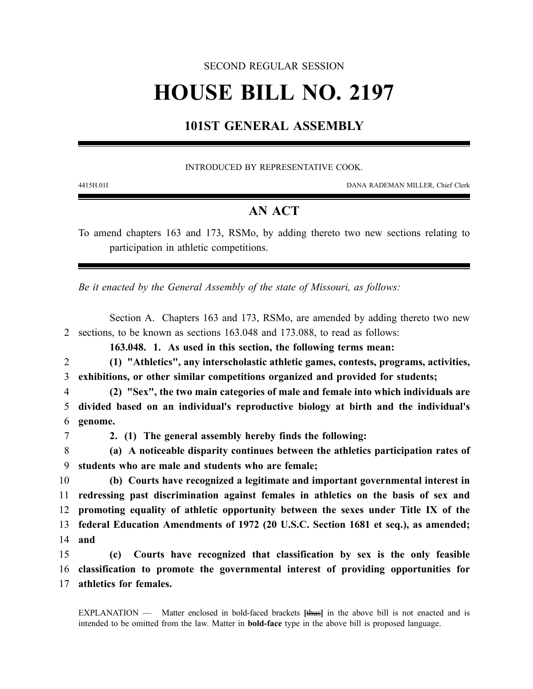### SECOND REGULAR SESSION

# **HOUSE BILL NO. 2197**

## **101ST GENERAL ASSEMBLY**

#### INTRODUCED BY REPRESENTATIVE COOK.

4415H.01I DANA RADEMAN MILLER, Chief Clerk

## **AN ACT**

To amend chapters 163 and 173, RSMo, by adding thereto two new sections relating to participation in athletic competitions.

*Be it enacted by the General Assembly of the state of Missouri, as follows:*

Section A. Chapters 163 and 173, RSMo, are amended by adding thereto two new 2 sections, to be known as sections 163.048 and 173.088, to read as follows:

**163.048. 1. As used in this section, the following terms mean:**

2 **(1) "Athletics", any interscholastic athletic games, contests, programs, activities,** 3 **exhibitions, or other similar competitions organized and provided for students;**

4 **(2) "Sex", the two main categories of male and female into which individuals are** 5 **divided based on an individual's reproductive biology at birth and the individual's** 6 **genome.**

7 **2. (1) The general assembly hereby finds the following:**

8 **(a) A noticeable disparity continues between the athletics participation rates of** 9 **students who are male and students who are female;**

 **(b) Courts have recognized a legitimate and important governmental interest in redressing past discrimination against females in athletics on the basis of sex and promoting equality of athletic opportunity between the sexes under Title IX of the federal Education Amendments of 1972 (20 U.S.C. Section 1681 et seq.), as amended;** 14 **and**

15 **(c) Courts have recognized that classification by sex is the only feasible** 16 **classification to promote the governmental interest of providing opportunities for** 17 **athletics for females.**

EXPLANATION — Matter enclosed in bold-faced brackets **[**thus**]** in the above bill is not enacted and is intended to be omitted from the law. Matter in **bold-face** type in the above bill is proposed language.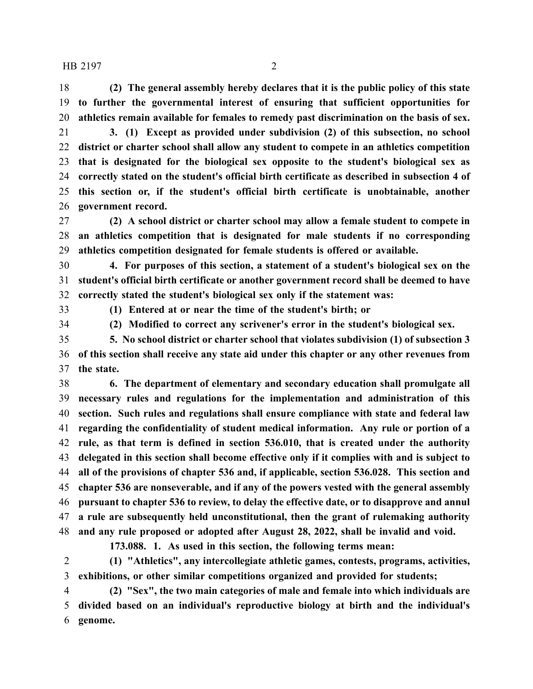HB 2197 2

 **(2) The general assembly hereby declares that it is the public policy of this state to further the governmental interest of ensuring that sufficient opportunities for athletics remain available for females to remedy past discrimination on the basis of sex.**

 **3. (1) Except as provided under subdivision (2) of this subsection, no school district or charter school shall allow any student to compete in an athletics competition that is designated for the biological sex opposite to the student's biological sex as correctly stated on the student's official birth certificate as described in subsection 4 of this section or, if the student's official birth certificate is unobtainable, another government record.**

 **(2) A school district or charter school may allow a female student to compete in an athletics competition that is designated for male students if no corresponding athletics competition designated for female students is offered or available.**

 **4. For purposes of this section, a statement of a student's biological sex on the student's official birth certificate or another government record shall be deemed to have correctly stated the student's biological sex only if the statement was:**

**(1) Entered at or near the time of the student's birth; or**

**(2) Modified to correct any scrivener's error in the student's biological sex.**

 **5. No school district or charter school that violates subdivision (1) of subsection 3 of this section shall receive any state aid under this chapter or any other revenues from the state.**

 **6. The department of elementary and secondary education shall promulgate all necessary rules and regulations for the implementation and administration of this section. Such rules and regulations shall ensure compliance with state and federal law regarding the confidentiality of student medical information. Any rule or portion of a rule, as that term is defined in section 536.010, that is created under the authority delegated in this section shall become effective only if it complies with and is subject to all of the provisions of chapter 536 and, if applicable, section 536.028. This section and chapter 536 are nonseverable, and if any of the powers vested with the general assembly pursuant to chapter 536 to review, to delay the effective date, or to disapprove and annul a rule are subsequently held unconstitutional, then the grant of rulemaking authority and any rule proposed or adopted after August 28, 2022, shall be invalid and void.**

**173.088. 1. As used in this section, the following terms mean:**

 **(1) "Athletics", any intercollegiate athletic games, contests, programs, activities, exhibitions, or other similar competitions organized and provided for students;**

 **(2) "Sex", the two main categories of male and female into which individuals are divided based on an individual's reproductive biology at birth and the individual's genome.**